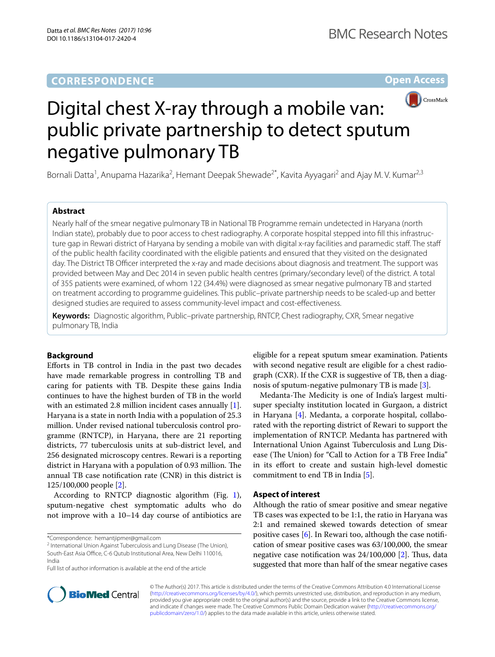## **CORRESPONDENCE**

**Open Access**



# Digital chest X-ray through a mobile van: public private partnership to detect sputum negative pulmonary TB

Bornali Datta<sup>1</sup>, Anupama Hazarika<sup>2</sup>, Hemant Deepak Shewade<sup>2\*</sup>, Kavita Ayyagari<sup>2</sup> and Ajay M. V. Kumar<sup>2,3</sup>

## **Abstract**

Nearly half of the smear negative pulmonary TB in National TB Programme remain undetected in Haryana (north Indian state), probably due to poor access to chest radiography. A corporate hospital stepped into fill this infrastructure gap in Rewari district of Haryana by sending a mobile van with digital x-ray facilities and paramedic staff. The staff of the public health facility coordinated with the eligible patients and ensured that they visited on the designated day. The District TB Officer interpreted the x-ray and made decisions about diagnosis and treatment. The support was provided between May and Dec 2014 in seven public health centres (primary/secondary level) of the district. A total of 355 patients were examined, of whom 122 (34.4%) were diagnosed as smear negative pulmonary TB and started on treatment according to programme guidelines. This public–private partnership needs to be scaled-up and better designed studies are required to assess community-level impact and cost-effectiveness.

**Keywords:** Diagnostic algorithm, Public–private partnership, RNTCP, Chest radiography, CXR, Smear negative pulmonary TB, India

## **Background**

Efforts in TB control in India in the past two decades have made remarkable progress in controlling TB and caring for patients with TB. Despite these gains India continues to have the highest burden of TB in the world with an estimated 2.8 million incident cases annually [\[1](#page-3-0)]. Haryana is a state in north India with a population of 25.3 million. Under revised national tuberculosis control programme (RNTCP), in Haryana, there are 21 reporting districts, 77 tuberculosis units at sub-district level, and 256 designated microscopy centres. Rewari is a reporting district in Haryana with a population of 0.93 million. The annual TB case notification rate (CNR) in this district is 125/100,000 people [[2\]](#page-3-1).

According to RNTCP diagnostic algorithm (Fig. [1](#page-1-0)), sputum-negative chest symptomatic adults who do not improve with a 10–14 day course of antibiotics are

\*Correspondence: hemantjipmer@gmail.com

Full list of author information is available at the end of the article



Medanta-The Medicity is one of India's largest multisuper specialty institution located in Gurgaon, a district in Haryana [\[4](#page-3-3)]. Medanta, a corporate hospital, collaborated with the reporting district of Rewari to support the implementation of RNTCP. Medanta has partnered with International Union Against Tuberculosis and Lung Disease (The Union) for "Call to Action for a TB Free India" in its effort to create and sustain high-level domestic commitment to end TB in India [\[5](#page-3-4)].

## **Aspect of interest**

Although the ratio of smear positive and smear negative TB cases was expected to be 1:1, the ratio in Haryana was 2:1 and remained skewed towards detection of smear positive cases [[6\]](#page-3-5). In Rewari too, although the case notification of smear positive cases was 63/100,000, the smear negative case notification was 24/100,000 [\[2](#page-3-1)]. Thus, data suggested that more than half of the smear negative cases



© The Author(s) 2017. This article is distributed under the terms of the Creative Commons Attribution 4.0 International License [\(http://creativecommons.org/licenses/by/4.0/\)](http://creativecommons.org/licenses/by/4.0/), which permits unrestricted use, distribution, and reproduction in any medium, provided you give appropriate credit to the original author(s) and the source, provide a link to the Creative Commons license, and indicate if changes were made. The Creative Commons Public Domain Dedication waiver ([http://creativecommons.org/](http://creativecommons.org/publicdomain/zero/1.0/) [publicdomain/zero/1.0/](http://creativecommons.org/publicdomain/zero/1.0/)) applies to the data made available in this article, unless otherwise stated.

<sup>&</sup>lt;sup>2</sup> International Union Against Tuberculosis and Lung Disease (The Union), South-East Asia Office, C-6 Qutub Institutional Area, New Delhi 110016, India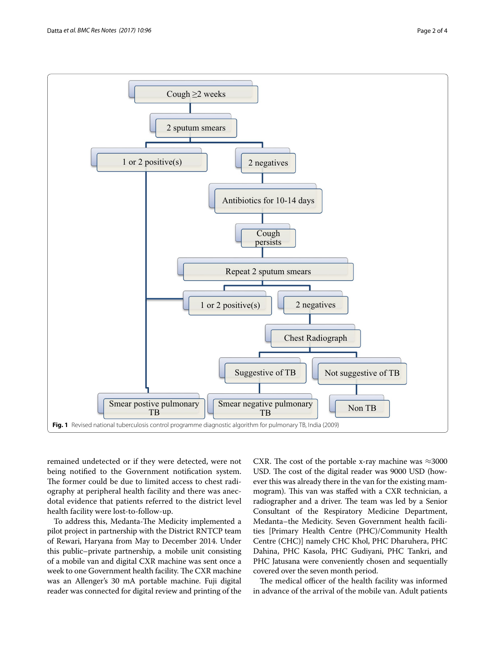

<span id="page-1-0"></span>remained undetected or if they were detected, were not being notified to the Government notification system. The former could be due to limited access to chest radiography at peripheral health facility and there was anecdotal evidence that patients referred to the district level health facility were lost-to-follow-up.

To address this, Medanta-The Medicity implemented a pilot project in partnership with the District RNTCP team of Rewari, Haryana from May to December 2014. Under this public–private partnership, a mobile unit consisting of a mobile van and digital CXR machine was sent once a week to one Government health facility. The CXR machine was an Allenger's 30 mA portable machine. Fuji digital reader was connected for digital review and printing of the

CXR. The cost of the portable x-ray machine was  $\approx$ 3000 USD. The cost of the digital reader was 9000 USD (however this was already there in the van for the existing mammogram). This van was staffed with a CXR technician, a radiographer and a driver. The team was led by a Senior Consultant of the Respiratory Medicine Department, Medanta–the Medicity. Seven Government health facilities [Primary Health Centre (PHC)/Community Health Centre (CHC)] namely CHC Khol, PHC Dharuhera, PHC Dahina, PHC Kasola, PHC Gudiyani, PHC Tankri, and PHC Jatusana were conveniently chosen and sequentially covered over the seven month period.

The medical officer of the health facility was informed in advance of the arrival of the mobile van. Adult patients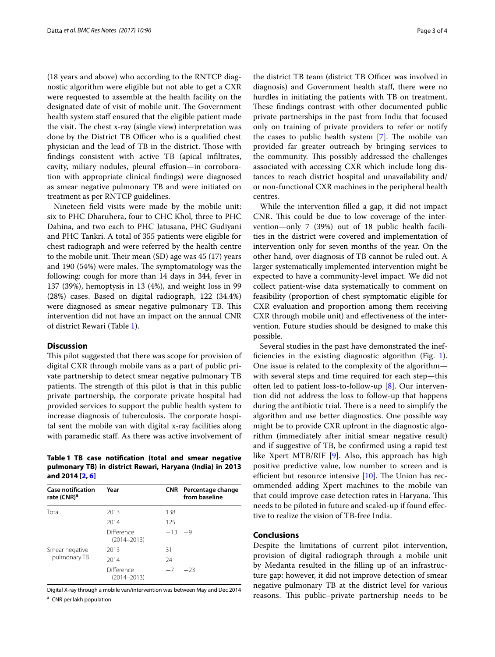(18 years and above) who according to the RNTCP diagnostic algorithm were eligible but not able to get a CXR were requested to assemble at the health facility on the designated date of visit of mobile unit. The Government health system staff ensured that the eligible patient made the visit. The chest x-ray (single view) interpretation was done by the District TB Officer who is a qualified chest physician and the lead of TB in the district. Those with findings consistent with active TB (apical infiltrates, cavity, miliary nodules, pleural effusion—in corroboration with appropriate clinical findings) were diagnosed as smear negative pulmonary TB and were initiated on treatment as per RNTCP guidelines.

Nineteen field visits were made by the mobile unit: six to PHC Dharuhera, four to CHC Khol, three to PHC Dahina, and two each to PHC Jatusana, PHC Gudiyani and PHC Tankri. A total of 355 patients were eligible for chest radiograph and were referred by the health centre to the mobile unit. Their mean (SD) age was 45 (17) years and 190 (54%) were males. The symptomatology was the following: cough for more than 14 days in 344, fever in 137 (39%), hemoptysis in 13 (4%), and weight loss in 99 (28%) cases. Based on digital radiograph, 122 (34.4%) were diagnosed as smear negative pulmonary TB. This intervention did not have an impact on the annual CNR of district Rewari (Table [1](#page-2-0)).

## **Discussion**

This pilot suggested that there was scope for provision of digital CXR through mobile vans as a part of public private partnership to detect smear negative pulmonary TB patients. The strength of this pilot is that in this public private partnership, the corporate private hospital had provided services to support the public health system to increase diagnosis of tuberculosis. The corporate hospital sent the mobile van with digital x-ray facilities along with paramedic staff. As there was active involvement of

## <span id="page-2-0"></span>**Table 1 TB case notification (total and smear negative pulmonary TB) in district Rewari, Haryana (India) in 2013 and 2014 [[2,](#page-3-1) [6\]](#page-3-5)**

| <b>Case notification</b><br>rate (CNR) <sup>a</sup> | Year                          | <b>CNR</b> | Percentage change<br>from baseline |
|-----------------------------------------------------|-------------------------------|------------|------------------------------------|
| Total                                               | 2013                          | 138        |                                    |
|                                                     | 2014                          | 125        |                                    |
|                                                     | Difference<br>$(2014 - 2013)$ | $-13$      | $-9$                               |
| Smear negative<br>pulmonary TB                      | 2013                          | 31         |                                    |
|                                                     | 2014                          | 24         |                                    |
|                                                     | Difference<br>$(2014 - 2013)$ | $-7$       | $-23$                              |

Digital X-ray through a mobile van/intervention was between May and Dec 2014 <sup>a</sup> CNR per lakh population

the district TB team (district TB Officer was involved in diagnosis) and Government health staff, there were no hurdles in initiating the patients with TB on treatment. These findings contrast with other documented public private partnerships in the past from India that focused only on training of private providers to refer or notify the cases to public health system [[7\]](#page-3-6). The mobile van provided far greater outreach by bringing services to the community. This possibly addressed the challenges associated with accessing CXR which include long distances to reach district hospital and unavailability and/ or non-functional CXR machines in the peripheral health centres.

While the intervention filled a gap, it did not impact CNR. This could be due to low coverage of the intervention—only 7 (39%) out of 18 public health facilities in the district were covered and implementation of intervention only for seven months of the year. On the other hand, over diagnosis of TB cannot be ruled out. A larger systematically implemented intervention might be expected to have a community-level impact. We did not collect patient-wise data systematically to comment on feasibility (proportion of chest symptomatic eligible for CXR evaluation and proportion among them receiving CXR through mobile unit) and effectiveness of the intervention. Future studies should be designed to make this possible.

Several studies in the past have demonstrated the inefficiencies in the existing diagnostic algorithm (Fig. [1](#page-1-0)). One issue is related to the complexity of the algorithm with several steps and time required for each step—this often led to patient loss-to-follow-up [[8\]](#page-3-7). Our intervention did not address the loss to follow-up that happens during the antibiotic trial. There is a need to simplify the algorithm and use better diagnostics. One possible way might be to provide CXR upfront in the diagnostic algorithm (immediately after initial smear negative result) and if suggestive of TB, be confirmed using a rapid test like Xpert MTB/RIF [[9\]](#page-3-8). Also, this approach has high positive predictive value, low number to screen and is efficient but resource intensive [\[10\]](#page-3-9). The Union has recommended adding Xpert machines to the mobile van that could improve case detection rates in Haryana. This needs to be piloted in future and scaled-up if found effective to realize the vision of TB-free India.

## **Conclusions**

Despite the limitations of current pilot intervention, provision of digital radiograph through a mobile unit by Medanta resulted in the filling up of an infrastructure gap: however, it did not improve detection of smear negative pulmonary TB at the district level for various reasons. This public–private partnership needs to be